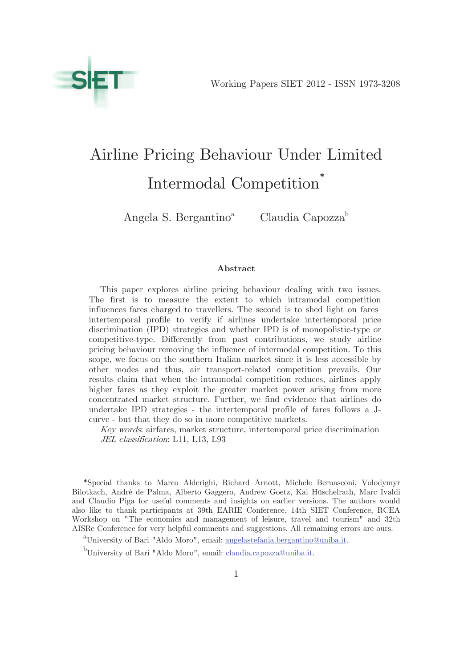# Airline Pricing Behaviour Under Limited Intermodal Competition<sup>\*</sup>

Angela S. Bergantino<sup>a</sup>

Claudia Capozza<sup>b</sup>

#### Abstract

This paper explores airline pricing behaviour dealing with two issues. The first is to measure the extent to which intramodal competition influences fares charged to travellers. The second is to shed light on fares' intertemporal profile to verify if airlines undertake intertemporal price discrimination (IPD) strategies and whether IPD is of monopolistic-type or competitive-type. Differently from past contributions, we study airline pricing behaviour removing the influence of intermodal competition. To this scope, we focus on the southern Italian market since it is less accessible by other modes and thus, air transport-related competition prevails. Our results claim that when the intramodal competition reduces, airlines apply higher fares as they exploit the greater market power arising from more concentrated market structure. Further, we find evidence that airlines do undertake IPD strategies - the intertemporal profile of fares follows a Jcurve - but that they do so in more competitive markets.

Key words: airfares, market structure, intertemporal price discrimination JEL classification: L11, L13, L93

\*Special thanks to Marco Alderighi, Richard Arnott, Michele Bernasconi, Volodymyr Bilotkach, André de Palma, Alberto Gaggero, Andrew Goetz, Kai Hüschelrath, Marc Ivaldi and Claudio Piga for useful comments and insights on earlier versions. The authors would also like to thank participants at 39th EARIE Conference, 14th SIET Conference, RCEA Workshop on "The economics and management of leisure, travel and tourism" and 32th AISRe Conference for very helpful comments and suggestions. All remaining errors are ours.

<sup>a</sup>University of Bari "Aldo Moro", email: angelastefania.bergantino@uniba.it.

<sup>&</sup>lt;sup>b</sup>University of Bari "Aldo Moro", email: claudia.capozza@uniba.it.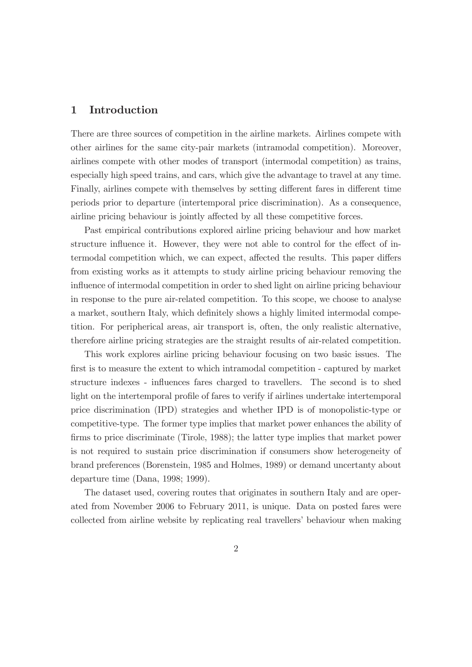# 1 Introduction

There are three sources of competition in the airline markets. Airlines compete with other airlines for the same city-pair markets (intramodal competition). Moreover, airlines compete with other modes of transport (intermodal competition) as trains, especially high speed trains, and cars, which give the advantage to travel at any time. Finally, airlines compete with themselves by setting different fares in different time periods prior to departure (intertemporal price discrimination). As a consequence, airline pricing behaviour is jointly affected by all these competitive forces.

Past empirical contributions explored airline pricing behaviour and how market structure influence it. However, they were not able to control for the effect of intermodal competition which, we can expect, affected the results. This paper differs from existing works as it attempts to study airline pricing behaviour removing the influence of intermodal competition in order to shed light on airline pricing behaviour in response to the pure air-related competition. To this scope, we choose to analyse a market, southern Italy, which definitely shows a highly limited intermodal competition. For peripherical areas, air transport is, often, the only realistic alternative, therefore airline pricing strategies are the straight results of air-related competition.

This work explores airline pricing behaviour focusing on two basic issues. The first is to measure the extent to which intramodal competition - captured by market structure indexes - influences fares charged to travellers. The second is to shed light on the intertemporal profile of fares to verify if airlines undertake intertemporal price discrimination (IPD) strategies and whether IPD is of monopolistic-type or competitive-type. The former type implies that market power enhances the ability of firms to price discriminate (Tirole, 1988); the latter type implies that market power is not required to sustain price discrimination if consumers show heterogeneity of brand preferences (Borenstein, 1985 and Holmes, 1989) or demand uncertanty about departure time (Dana, 1998; 1999).

The dataset used, covering routes that originates in southern Italy and are operated from November 2006 to February 2011, is unique. Data on posted fares were collected from airline website by replicating real travellers' behaviour when making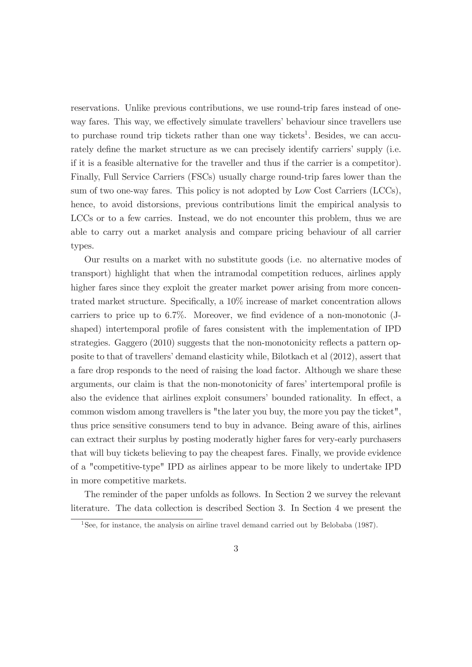reservations. Unlike previous contributions, we use round-trip fares instead of oneway fares. This way, we effectively simulate travellers' behaviour since travellers use to purchase round trip tickets rather than one way tickets<sup>1</sup>. Besides, we can accurately define the market structure as we can precisely identify carriers' supply (i.e. if it is a feasible alternative for the traveller and thus if the carrier is a competitor). Finally, Full Service Carriers (FSCs) usually charge round-trip fares lower than the sum of two one-way fares. This policy is not adopted by Low Cost Carriers (LCCs), hence, to avoid distorsions, previous contributions limit the empirical analysis to LCCs or to a few carries. Instead, we do not encounter this problem, thus we are able to carry out a market analysis and compare pricing behaviour of all carrier types.

Our results on a market with no substitute goods (i.e. no alternative modes of transport) highlight that when the intramodal competition reduces, airlines apply higher fares since they exploit the greater market power arising from more concentrated market structure. Specifically, a 10% increase of market concentration allows carriers to price up to 6.7%. Moreover, we find evidence of a non-monotonic (Jshaped) intertemporal profile of fares consistent with the implementation of IPD strategies. Gaggero (2010) suggests that the non-monotonicity reflects a pattern opposite to that of travellers' demand elasticity while, Bilotkach et al (2012), assert that a fare drop responds to the need of raising the load factor. Although we share these arguments, our claim is that the non-monotonicity of fares' intertemporal profile is also the evidence that airlines exploit consumers' bounded rationality. In effect, a common wisdom among travellers is "the later you buy, the more you pay the ticket", thus price sensitive consumers tend to buy in advance. Being aware of this, airlines can extract their surplus by posting moderatly higher fares for very-early purchasers that will buy tickets believing to pay the cheapest fares. Finally, we provide evidence of a "competitive-type" IPD as airlines appear to be more likely to undertake IPD in more competitive markets.

The reminder of the paper unfolds as follows. In Section 2 we survey the relevant literature. The data collection is described Section 3. In Section 4 we present the

<sup>&</sup>lt;sup>1</sup>See, for instance, the analysis on airline travel demand carried out by Belobaba (1987).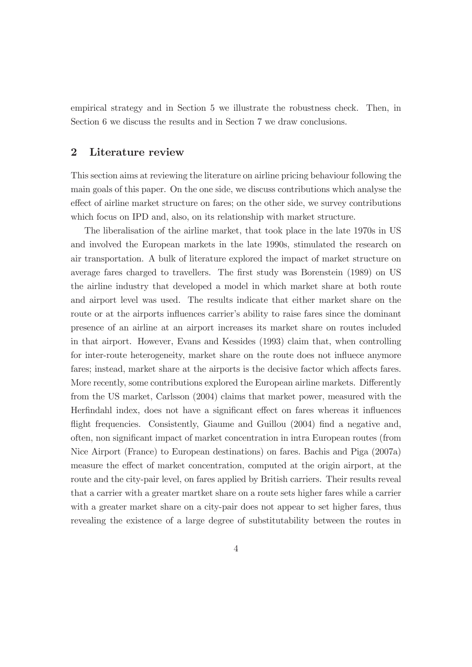empirical strategy and in Section 5 we illustrate the robustness check. Then, in Section 6 we discuss the results and in Section 7 we draw conclusions.

# 2 Literature review

This section aims at reviewing the literature on airline pricing behaviour following the main goals of this paper. On the one side, we discuss contributions which analyse the effect of airline market structure on fares; on the other side, we survey contributions which focus on IPD and, also, on its relationship with market structure.

The liberalisation of the airline market, that took place in the late 1970s in US and involved the European markets in the late 1990s, stimulated the research on air transportation. A bulk of literature explored the impact of market structure on average fares charged to travellers. The first study was Borenstein (1989) on US the airline industry that developed a model in which market share at both route and airport level was used. The results indicate that either market share on the route or at the airports influences carrier's ability to raise fares since the dominant presence of an airline at an airport increases its market share on routes included in that airport. However, Evans and Kessides (1993) claim that, when controlling for inter-route heterogeneity, market share on the route does not influece anymore fares; instead, market share at the airports is the decisive factor which affects fares. More recently, some contributions explored the European airline markets. Differently from the US market, Carlsson (2004) claims that market power, measured with the Herfindahl index, does not have a significant effect on fares whereas it influences flight frequencies. Consistently, Giaume and Guillou (2004) find a negative and, often, non significant impact of market concentration in intra European routes (from Nice Airport (France) to European destinations) on fares. Bachis and Piga (2007a) measure the effect of market concentration, computed at the origin airport, at the route and the city-pair level, on fares applied by British carriers. Their results reveal that a carrier with a greater martket share on a route sets higher fares while a carrier with a greater market share on a city-pair does not appear to set higher fares, thus revealing the existence of a large degree of substitutability between the routes in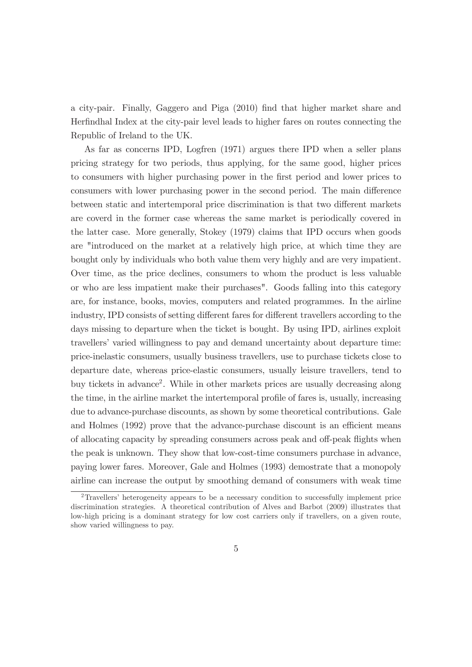a city-pair. Finally, Gaggero and Piga (2010) find that higher market share and Herfindhal Index at the city-pair level leads to higher fares on routes connecting the Republic of Ireland to the UK.

As far as concerns IPD, Logfren (1971) argues there IPD when a seller plans pricing strategy for two periods, thus applying, for the same good, higher prices to consumers with higher purchasing power in the first period and lower prices to consumers with lower purchasing power in the second period. The main difference between static and intertemporal price discrimination is that two different markets are coverd in the former case whereas the same market is periodically covered in the latter case. More generally, Stokey (1979) claims that IPD occurs when goods are "introduced on the market at a relatively high price, at which time they are bought only by individuals who both value them very highly and are very impatient. Over time, as the price declines, consumers to whom the product is less valuable or who are less impatient make their purchases". Goods falling into this category are, for instance, books, movies, computers and related programmes. In the airline industry, IPD consists of setting different fares for different travellers according to the days missing to departure when the ticket is bought. By using IPD, airlines exploit travellers' varied willingness to pay and demand uncertainty about departure time: price-inelastic consumers, usually business travellers, use to purchase tickets close to departure date, whereas price-elastic consumers, usually leisure travellers, tend to buy tickets in advance<sup>2</sup>. While in other markets prices are usually decreasing along the time, in the airline market the intertemporal profile of fares is, usually, increasing due to advance-purchase discounts, as shown by some theoretical contributions. Gale and Holmes (1992) prove that the advance-purchase discount is an efficient means of allocating capacity by spreading consumers across peak and off-peak flights when the peak is unknown. They show that low-cost-time consumers purchase in advance, paying lower fares. Moreover, Gale and Holmes (1993) demostrate that a monopoly airline can increase the output by smoothing demand of consumers with weak time

<sup>2</sup>Travellers' heterogeneity appears to be a necessary condition to successfully implement price discrimination strategies. A theoretical contribution of Alves and Barbot (2009) illustrates that low-high pricing is a dominant strategy for low cost carriers only if travellers, on a given route, show varied willingness to pay.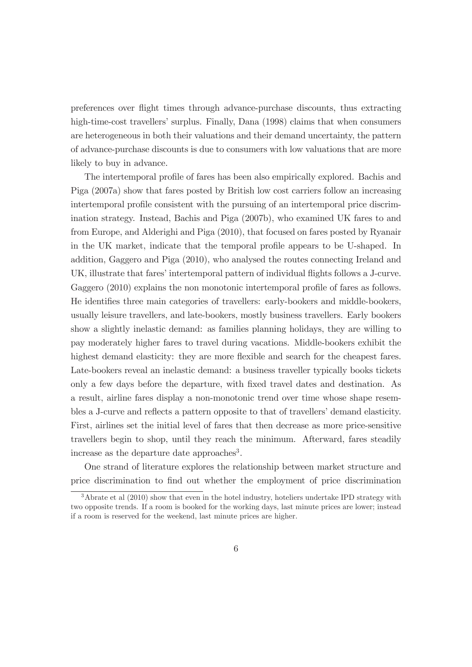preferences over flight times through advance-purchase discounts, thus extracting high-time-cost travellers' surplus. Finally, Dana (1998) claims that when consumers are heterogeneous in both their valuations and their demand uncertainty, the pattern of advance-purchase discounts is due to consumers with low valuations that are more likely to buy in advance.

The intertemporal profile of fares has been also empirically explored. Bachis and Piga (2007a) show that fares posted by British low cost carriers follow an increasing intertemporal profile consistent with the pursuing of an intertemporal price discrimination strategy. Instead, Bachis and Piga (2007b), who examined UK fares to and from Europe, and Alderighi and Piga (2010), that focused on fares posted by Ryanair in the UK market, indicate that the temporal profile appears to be U-shaped. In addition, Gaggero and Piga (2010), who analysed the routes connecting Ireland and UK, illustrate that fares' intertemporal pattern of individual flights follows a J-curve. Gaggero (2010) explains the non monotonic intertemporal profile of fares as follows. He identifies three main categories of travellers: early-bookers and middle-bookers, usually leisure travellers, and late-bookers, mostly business travellers. Early bookers show a slightly inelastic demand: as families planning holidays, they are willing to pay moderately higher fares to travel during vacations. Middle-bookers exhibit the highest demand elasticity: they are more flexible and search for the cheapest fares. Late-bookers reveal an inelastic demand: a business traveller typically books tickets only a few days before the departure, with fixed travel dates and destination. As a result, airline fares display a non-monotonic trend over time whose shape resembles a J-curve and reflects a pattern opposite to that of travellers' demand elasticity. First, airlines set the initial level of fares that then decrease as more price-sensitive travellers begin to shop, until they reach the minimum. Afterward, fares steadily increase as the departure date approaches<sup>3</sup>.

One strand of literature explores the relationship between market structure and price discrimination to find out whether the employment of price discrimination

<sup>3</sup>Abrate et al (2010) show that even in the hotel industry, hoteliers undertake IPD strategy with two opposite trends. If a room is booked for the working days, last minute prices are lower; instead if a room is reserved for the weekend, last minute prices are higher.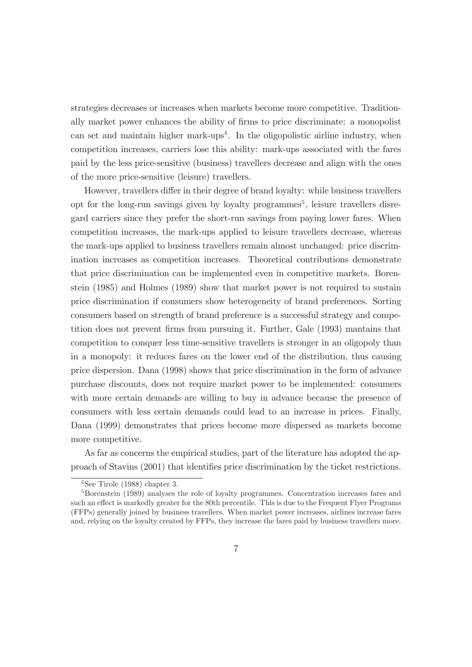strategies decreases or increases when markets become more competitive. Traditionally market power enhances the ability of firms to price discriminate: a monopolist can set and maintain higher mark-ups<sup>4</sup>. In the oligopolistic airline industry, when competition increases, carriers lose this ability: mark-ups associated with the fares paid by the less price-sensitive (business) travellers decrease and align with the ones of the more price-sensitive (leisure) travellers.

However, travellers differ in their degree of brand loyalty: while business travellers opt for the long-run savings given by loyalty programmes<sup>5</sup>, leisure travellers disregard carriers since they prefer the short-run savings from paying lower fares. When competition increases, the mark-ups applied to leisure travellers decrease, whereas the mark-ups applied to business travellers remain almost unchanged: price discrimination increases as competition increases. Theoretical contributions demonstrate that price discrimination can be implemented even in competitive markets. Borenstein (1985) and Holmes (1989) show that market power is not required to sustain price discrimination if consumers show heterogeneity of brand preferences. Sorting consumers based on strength of brand preference is a successful strategy and competition does not prevent firms from pursuing it. Further, Gale (1993) mantains that competition to conquer less time-sensitive travellers is stronger in an oligopoly than in a monopoly: it reduces fares on the lower end of the distribution, thus causing price dispersion. Dana (1998) shows that price discrimination in the form of advance purchase discounts, does not require market power to be implemented: consumers with more certain demands are willing to buy in advance because the presence of consumers with less certain demands could lead to an increase in prices. Finally, Dana (1999) demonstrates that prices become more dispersed as markets become more competitive.

As far as concerns the empirical studies, part of the literature has adopted the approach of Stavins (2001) that identifies price discrimination by the ticket restrictions.

 $4$ See Tirole (1988) chapter 3.

<sup>5</sup>Borenstein (1989) analyses the role of loyalty programmes. Concentration increases fares and such an effect is markedly greater for the 80th percentile. This is due to the Frequent Flyer Programs (FFPs) generally joined by business travellers. When market power increases, airlines increase fares and, relying on the loyalty created by FFPs, they increase the fares paid by business travellers more.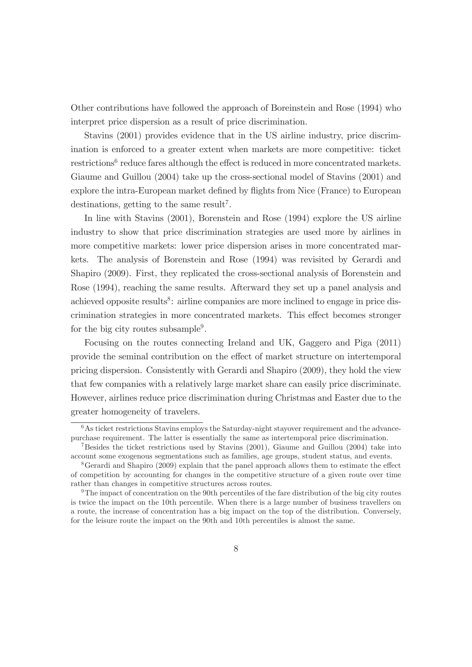Other contributions have followed the approach of Boreinstein and Rose (1994) who interpret price dispersion as a result of price discrimination.

Stavins (2001) provides evidence that in the US airline industry, price discrimination is enforced to a greater extent when markets are more competitive: ticket  $r$ estrictions<sup>6</sup> reduce fares although the effect is reduced in more concentrated markets. Giaume and Guillou (2004) take up the cross-sectional model of Stavins (2001) and explore the intra-European market defined by flights from Nice (France) to European destinations, getting to the same result<sup>7</sup>.

In line with Stavins (2001), Borenstein and Rose (1994) explore the US airline industry to show that price discrimination strategies are used more by airlines in more competitive markets: lower price dispersion arises in more concentrated markets. The analysis of Borenstein and Rose (1994) was revisited by Gerardi and Shapiro (2009). First, they replicated the cross-sectional analysis of Borenstein and Rose (1994), reaching the same results. Afterward they set up a panel analysis and achieved opposite results<sup>8</sup>: airline companies are more inclined to engage in price discrimination strategies in more concentrated markets. This effect becomes stronger for the big city routes subsample<sup>9</sup>.

Focusing on the routes connecting Ireland and UK, Gaggero and Piga (2011) provide the seminal contribution on the effect of market structure on intertemporal pricing dispersion. Consistently with Gerardi and Shapiro (2009), they hold the view that few companies with a relatively large market share can easily price discriminate. However, airlines reduce price discrimination during Christmas and Easter due to the greater homogeneity of travelers.

<sup>&</sup>lt;sup>6</sup>As ticket restrictions Stavins employs the Saturday-night stayover requirement and the advancepurchase requirement. The latter is essentially the same as intertemporal price discrimination.

<sup>7</sup>Besides the ticket restrictions used by Stavins (2001), Giaume and Guillou (2004) take into account some exogenous segmentations such as families, age groups, student status, and events.

<sup>&</sup>lt;sup>8</sup>Gerardi and Shapiro (2009) explain that the panel approach allows them to estimate the effect of competition by accounting for changes in the competitive structure of a given route over time rather than changes in competitive structures across routes.

<sup>9</sup>The impact of concentration on the 90th percentiles of the fare distribution of the big city routes is twice the impact on the 10th percentile. When there is a large number of business travellers on a route, the increase of concentration has a big impact on the top of the distribution. Conversely, for the leisure route the impact on the 90th and 10th percentiles is almost the same.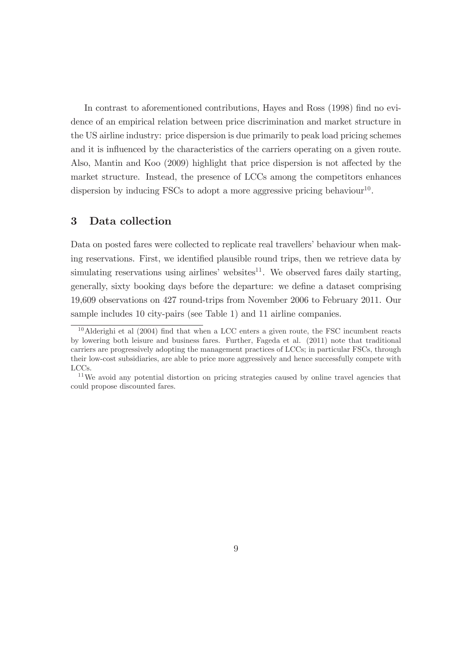In contrast to aforementioned contributions, Hayes and Ross (1998) find no evidence of an empirical relation between price discrimination and market structure in the US airline industry: price dispersion is due primarily to peak load pricing schemes and it is influenced by the characteristics of the carriers operating on a given route. Also, Mantin and Koo (2009) highlight that price dispersion is not affected by the market structure. Instead, the presence of LCCs among the competitors enhances dispersion by inducing FSCs to adopt a more aggressive pricing behaviour<sup>10</sup>.

# 3 Data collection

Data on posted fares were collected to replicate real travellers' behaviour when making reservations. First, we identified plausible round trips, then we retrieve data by simulating reservations using airlines' websites $^{11}$ . We observed fares daily starting, generally, sixty booking days before the departure: we define a dataset comprising 19,609 observations on 427 round-trips from November 2006 to February 2011. Our sample includes 10 city-pairs (see Table 1) and 11 airline companies.

 $10$ Alderighi et al (2004) find that when a LCC enters a given route, the FSC incumbent reacts by lowering both leisure and business fares. Further, Fageda et al. (2011) note that traditional carriers are progressively adopting the management practices of LCCs; in particular FSCs, through their low-cost subsidiaries, are able to price more aggressively and hence successfully compete with LCCs.

<sup>&</sup>lt;sup>11</sup>We avoid any potential distortion on pricing strategies caused by online travel agencies that could propose discounted fares.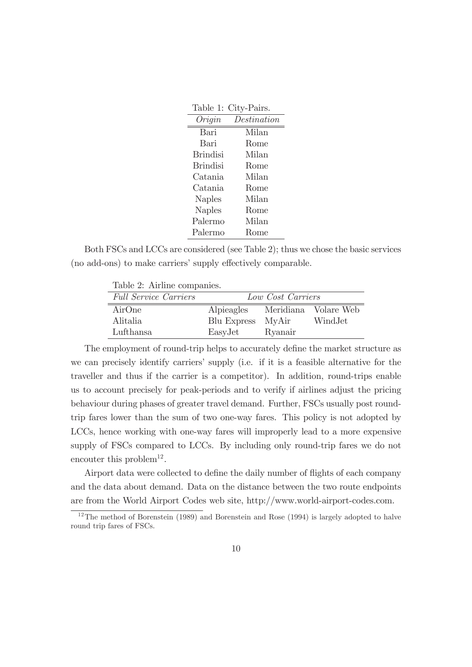|                 | Table 1: City-Pairs. |
|-----------------|----------------------|
| Origin          | Destination          |
| Bari            | Milan                |
| Bari            | Rome                 |
| <b>Brindisi</b> | Milan                |
| <b>Brindisi</b> | Rome                 |
| Catania         | Milan                |
| Catania         | Rome                 |
| <b>Naples</b>   | Milan                |
| <b>Naples</b>   | Rome                 |
| Palermo         | Milan                |
| Palermo         | Rome                 |

Both FSCs and LCCs are considered (see Table 2); thus we chose the basic services (no add-ons) to make carriers' supply effectively comparable.

| Table 2: Airline companies.  |                   |         |                      |  |  |  |
|------------------------------|-------------------|---------|----------------------|--|--|--|
| <b>Full Service Carriers</b> | Low Cost Carriers |         |                      |  |  |  |
| AirOne                       | Alpieagles        |         | Meridiana Volare Web |  |  |  |
| Alitalia                     | Blu Express       | MvAir   | WindJet              |  |  |  |
| Lufthansa                    | EasyJet           | Ryanair |                      |  |  |  |

The employment of round-trip helps to accurately define the market structure as we can precisely identify carriers' supply (i.e. if it is a feasible alternative for the traveller and thus if the carrier is a competitor). In addition, round-trips enable us to account precisely for peak-periods and to verify if airlines adjust the pricing behaviour during phases of greater travel demand. Further, FSCs usually post roundtrip fares lower than the sum of two one-way fares. This policy is not adopted by LCCs, hence working with one-way fares will improperly lead to a more expensive supply of FSCs compared to LCCs. By including only round-trip fares we do not encouter this problem<sup>12</sup>.

Airport data were collected to define the daily number of flights of each company and the data about demand. Data on the distance between the two route endpoints are from the World Airport Codes web site, http://www.world-airport-codes.com.

<sup>&</sup>lt;sup>12</sup>The method of Borenstein (1989) and Borenstein and Rose (1994) is largely adopted to halve round trip fares of FSCs.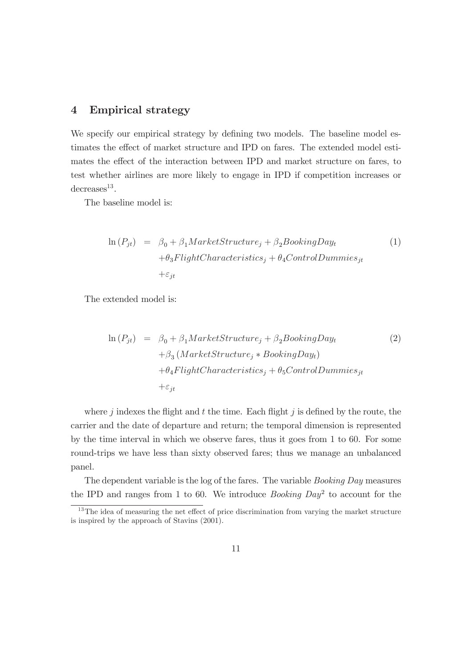# 4 Empirical strategy

We specify our empirical strategy by defining two models. The baseline model estimates the effect of market structure and IPD on fares. The extended model estimates the effect of the interaction between IPD and market structure on fares, to test whether airlines are more likely to engage in IPD if competition increases or  $decreases<sup>13</sup>$ .

The baseline model is:

$$
\ln(P_{jt}) = \beta_0 + \beta_1 MarketStructure_j + \beta_2 BookingDay_t
$$
  
+  $\theta_3 FlightCharacteristics_j + \theta_4 ControlDummies_{jt}$   
+ $\varepsilon_{jt}$  (1)

The extended model is:

$$
\ln(P_{jt}) = \beta_0 + \beta_1 MarketStructure_j + \beta_2 BoostingDay_t
$$
  
+  $\beta_3 (MarketStructure_j * BookingDay_t)$   
+  $\theta_4 FlightCharacteristics_j + \theta_5 ControlDummies_{jt}$   
+  $\varepsilon_{jt}$  (2)

where  $j$  indexes the flight and  $t$  the time. Each flight  $j$  is defined by the route, the carrier and the date of departure and return; the temporal dimension is represented by the time interval in which we observe fares, thus it goes from 1 to 60. For some round-trips we have less than sixty observed fares; thus we manage an unbalanced panel.

The dependent variable is the log of the fares. The variable *Booking Day* measures the IPD and ranges from 1 to 60. We introduce *Booking Day*<sup>2</sup> to account for the

<sup>&</sup>lt;sup>13</sup>The idea of measuring the net effect of price discrimination from varying the market structure is inspired by the approach of Stavins (2001).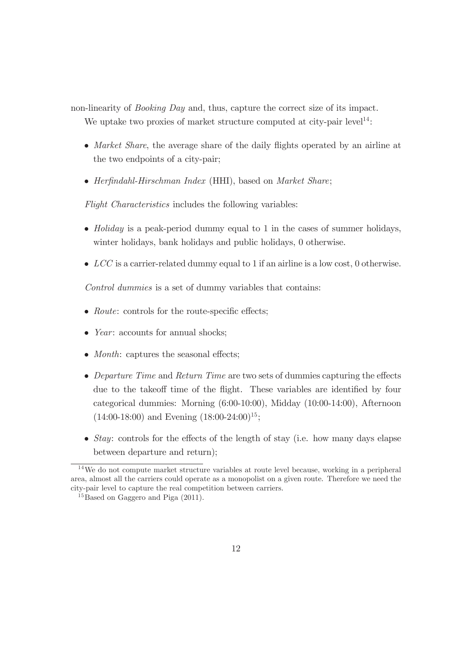non-linearity of *Booking Day* and, thus, capture the correct size of its impact.

We uptake two proxies of market structure computed at city-pair level<sup>14</sup>:

- *Market Share*, the average share of the daily flights operated by an airline at the two endpoints of a city-pair;
- *Herfindahl-Hirschman Index* (HHI), based on *Market Share*;

*Flight Characteristics* includes the following variables:

- *Holiday* is a peak-period dummy equal to 1 in the cases of summer holidays, winter holidays, bank holidays and public holidays, 0 otherwise.
- *LCC* is a carrier-related dummy equal to 1 if an airline is a low cost, 0 otherwise.

*Control dummies* is a set of dummy variables that contains:

- *Route*: controls for the route-specific effects;
- *Year*: accounts for annual shocks;
- *Month*: captures the seasonal effects:
- *Departure Time* and *Return Time* are two sets of dummies capturing the effects due to the takeoff time of the flight. These variables are identified by four categorical dummies: Morning (6:00-10:00), Midday (10:00-14:00), Afternoon  $(14:00-18:00)$  and Evening  $(18:00-24:00)^{15}$ ;
- *Stay*: controls for the effects of the length of stay (i.e. how many days elapse between departure and return);

 $14$ We do not compute market structure variables at route level because, working in a peripheral area, almost all the carriers could operate as a monopolist on a given route. Therefore we need the city-pair level to capture the real competition between carriers.

 $^{15}$ Based on Gaggero and Piga (2011).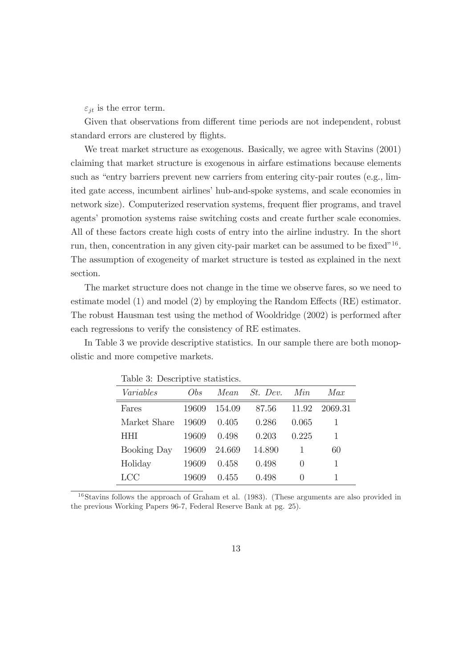$\varepsilon_{it}$  is the error term.

Given that observations from different time periods are not independent, robust standard errors are clustered by flights.

We treat market structure as exogenous. Basically, we agree with Stavins (2001) claiming that market structure is exogenous in airfare estimations because elements such as "entry barriers prevent new carriers from entering city-pair routes (e.g., limited gate access, incumbent airlines' hub-and-spoke systems, and scale economies in network size). Computerized reservation systems, frequent flier programs, and travel agents' promotion systems raise switching costs and create further scale economies. All of these factors create high costs of entry into the airline industry. In the short run, then, concentration in any given city-pair market can be assumed to be fixed<sup>"16</sup>. The assumption of exogeneity of market structure is tested as explained in the next section.

The market structure does not change in the time we observe fares, so we need to estimate model (1) and model (2) by employing the Random Effects (RE) estimator. The robust Hausman test using the method of Wooldridge (2002) is performed after each regressions to verify the consistency of RE estimates.

In Table 3 we provide descriptive statistics. In our sample there are both monopolistic and more competive markets.

|                    | rapic of Deperiperve pedemones. |         |               |                  |         |  |  |
|--------------------|---------------------------------|---------|---------------|------------------|---------|--|--|
| Variables          | Obs                             |         | Mean St. Dev. | Min              | Max     |  |  |
| Fares              | 19609                           | 154.09  | 87.56         | 11.92            | 2069.31 |  |  |
| Market Share       | 19609                           | (1.405) | 0.286         | 0.065            |         |  |  |
| <b>HHI</b>         | 19609                           | 0.498   | 0.203         | 0.225            |         |  |  |
| <b>Booking Day</b> | 19609                           | 24.669  | 14.890        |                  | 60      |  |  |
| Holiday            | 19609                           | 0.458   | 0.498         | $\left( \right)$ |         |  |  |
| LCC                | 19609                           | 0.455   | 0.498         | $\mathbf{0}$     |         |  |  |

Table 3: Descriptive statistics.

<sup>16</sup>Stavins follows the approach of Graham et al. (1983). (These arguments are also provided in the previous Working Papers 96-7, Federal Reserve Bank at pg. 25).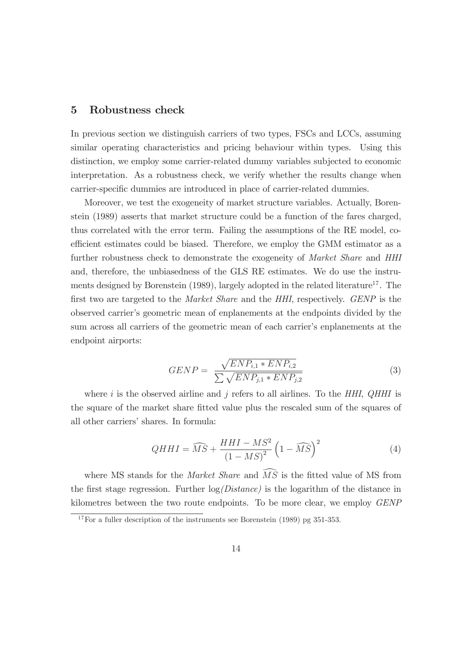#### 5 Robustness check

In previous section we distinguish carriers of two types, FSCs and LCCs, assuming similar operating characteristics and pricing behaviour within types. Using this distinction, we employ some carrier-related dummy variables subjected to economic interpretation. As a robustness check, we verify whether the results change when carrier-specific dummies are introduced in place of carrier-related dummies.

Moreover, we test the exogeneity of market structure variables. Actually, Borenstein (1989) asserts that market structure could be a function of the fares charged, thus correlated with the error term. Failing the assumptions of the RE model, coefficient estimates could be biased. Therefore, we employ the GMM estimator as a further robustness check to demonstrate the exogeneity of *Market Share* and *HHI* and, therefore, the unbiasedness of the GLS RE estimates. We do use the instruments designed by Borenstein (1989), largely adopted in the related literature<sup>17</sup>. The first two are targeted to the *Market Share* and the *HHI*, respectively. *GENP* is the observed carrier's geometric mean of enplanements at the endpoints divided by the sum across all carriers of the geometric mean of each carrier's enplanements at the endpoint airports:

$$
GENP = \frac{\sqrt{ENP_{i,1} * ENP_{i,2}}}{\sum \sqrt{ENP_{j,1} * ENP_{j,2}}}
$$
\n(3)

where i is the observed airline and j refers to all airlines. To the *HHI*, *QHHI* is the square of the market share fitted value plus the rescaled sum of the squares of all other carriers' shares. In formula:

$$
QHHI = \widehat{MS} + \frac{HHI - MS^2}{\left(1 - MS\right)^2} \left(1 - \widehat{MS}\right)^2 \tag{4}
$$

where MS stands for the *Market Share* and  $\widehat{MS}$  is the fitted value of MS from the first stage regression. Further log*(Distance)* is the logarithm of the distance in kilometres between the two route endpoints. To be more clear, we employ *GENP*

 $17\,\text{For a fuller description of the instruments see Borenstein (1989) pg } 351-353.$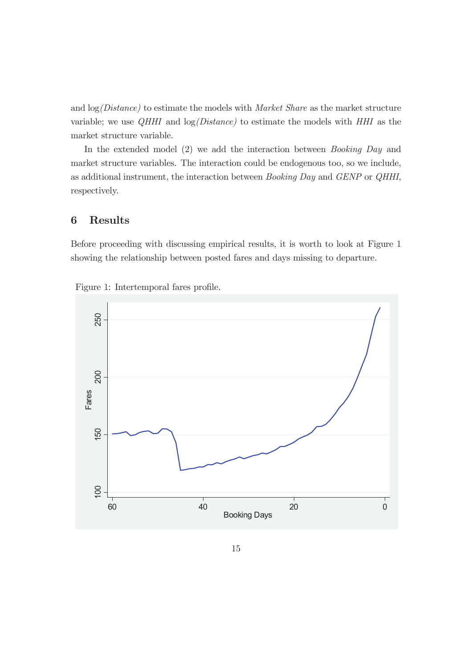and log*(Distance)* to estimate the models with *Market Share* as the market structure variable; we use *QHHI* and log*(Distance)* to estimate the models with *HHI* as the market structure variable.

In the extended model (2) we add the interaction between *Booking Day* and market structure variables. The interaction could be endogenous too, so we include, as additional instrument, the interaction between *Booking Day* and *GENP* or *QHHI*, respectively.

# 6 Results

Before proceeding with discussing empirical results, it is worth to look at Figure 1 showing the relationship between posted fares and days missing to departure.



Figure 1: Intertemporal fares profile.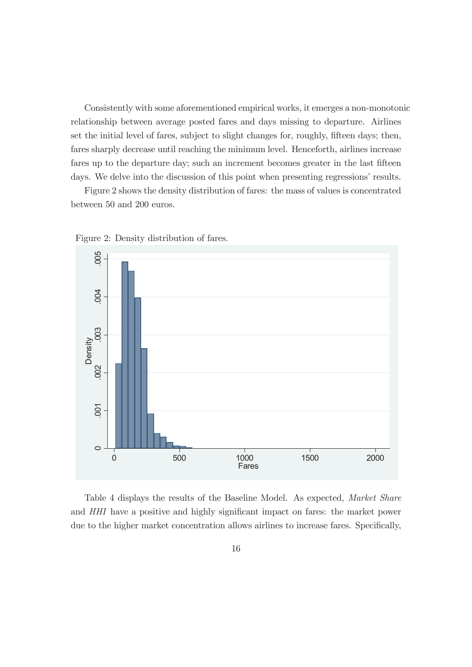Consistently with some aforementioned empirical works, it emerges a non-monotonic relationship between average posted fares and days missing to departure. Airlines set the initial level of fares, subject to slight changes for, roughly, fifteen days; then, fares sharply decrease until reaching the minimum level. Henceforth, airlines increase fares up to the departure day; such an increment becomes greater in the last fifteen days. We delve into the discussion of this point when presenting regressions' results.

Figure 2 shows the density distribution of fares: the mass of values is concentrated between 50 and 200 euros.



Figure 2: Density distribution of fares.

Table 4 displays the results of the Baseline Model. As expected, *Market Share* and *HHI* have a positive and highly significant impact on fares: the market power due to the higher market concentration allows airlines to increase fares. Specifically,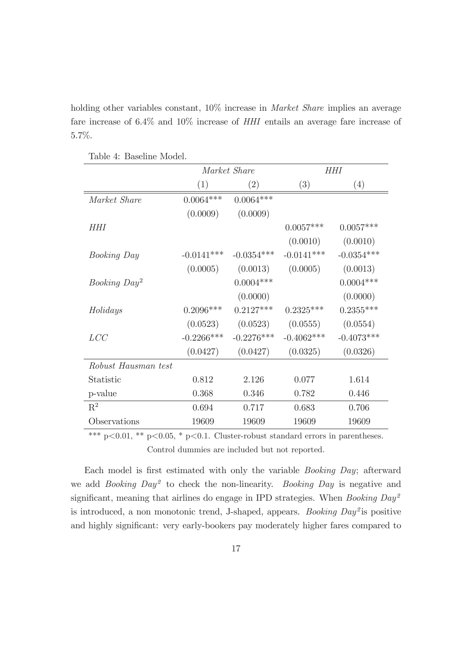holding other variables constant, 10% increase in *Market Share* implies an average fare increase of 6.4% and 10% increase of *HHI* entails an average fare increase of 5.7%.

|                          |              | Market Share      | HHI          |              |  |
|--------------------------|--------------|-------------------|--------------|--------------|--|
|                          | (1)          | $\left( 2\right)$ | (3)          | (4)          |  |
| Market Share             | $0.0064***$  | $0.0064***$       |              |              |  |
|                          | (0.0009)     | (0.0009)          |              |              |  |
| HHI                      |              |                   | $0.0057***$  | $0.0057***$  |  |
|                          |              |                   | (0.0010)     | (0.0010)     |  |
| <i>Booking Day</i>       | $-0.0141***$ | $-0.0354***$      | $-0.0141***$ | $-0.0354***$ |  |
|                          | (0.0005)     | (0.0013)          | (0.0005)     | (0.0013)     |  |
| Booking Day <sup>2</sup> |              | $0.0004***$       |              | $0.0004***$  |  |
|                          |              | (0.0000)          |              | (0.0000)     |  |
| Holidays                 | $0.2096***$  | $0.2127***$       | $0.2325***$  | $0.2355***$  |  |
|                          | (0.0523)     | (0.0523)          | (0.0555)     | (0.0554)     |  |
| LCC                      | $-0.2266***$ | $-0.2276***$      | $-0.4062***$ | $-0.4073***$ |  |
|                          | (0.0427)     | (0.0427)          | (0.0325)     | (0.0326)     |  |
| Robust Hausman test      |              |                   |              |              |  |
| Statistic                | 0.812        | 2.126             | 0.077        | 1.614        |  |
| p-value                  | 0.368        | 0.346             | 0.782        | 0.446        |  |
| $\mathbf{R}^2$           | 0.694        | 0.717             | 0.683        | 0.706        |  |
| Observations             | 19609        | 19609             | 19609        | 19609        |  |

Table 4: Baseline Model.

\*\*\* p $<0.01$ , \*\* p $<0.05$ , \* p $<0.1$ . Cluster-robust standard errors in parentheses. Control dummies are included but not reported.

Each model is first estimated with only the variable *Booking Day*; afterward we add *Booking Day*<sup>2</sup> to check the non-linearity. *Booking Day* is negative and significant, meaning that airlines do engage in IPD strategies. When *Booking Day*<sup>2</sup> is introduced, a non monotonic trend, J-shaped, appears. *Booking Day*<sup>2</sup> is positive and highly significant: very early-bookers pay moderately higher fares compared to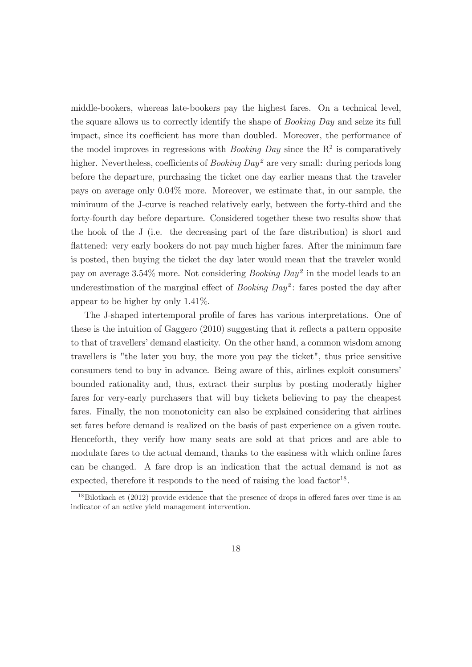middle-bookers, whereas late-bookers pay the highest fares. On a technical level, the square allows us to correctly identify the shape of *Booking Day* and seize its full impact, since its coefficient has more than doubled. Moreover, the performance of the model improves in regressions with *Booking Day* since the  $R^2$  is comparatively higher. Nevertheless, coefficients of *Booking Day*<sup>2</sup> are very small: during periods long before the departure, purchasing the ticket one day earlier means that the traveler pays on average only 0.04% more. Moreover, we estimate that, in our sample, the minimum of the J-curve is reached relatively early, between the forty-third and the forty-fourth day before departure. Considered together these two results show that the hook of the J (i.e. the decreasing part of the fare distribution) is short and flattened: very early bookers do not pay much higher fares. After the minimum fare is posted, then buying the ticket the day later would mean that the traveler would pay on average 3.54% more. Not considering *Booking Day*<sup>2</sup> in the model leads to an underestimation of the marginal effect of *Booking Day*<sup>2</sup> : fares posted the day after appear to be higher by only 1.41%.

The J-shaped intertemporal profile of fares has various interpretations. One of these is the intuition of Gaggero (2010) suggesting that it reflects a pattern opposite to that of travellers' demand elasticity. On the other hand, a common wisdom among travellers is "the later you buy, the more you pay the ticket", thus price sensitive consumers tend to buy in advance. Being aware of this, airlines exploit consumers' bounded rationality and, thus, extract their surplus by posting moderatly higher fares for very-early purchasers that will buy tickets believing to pay the cheapest fares. Finally, the non monotonicity can also be explained considering that airlines set fares before demand is realized on the basis of past experience on a given route. Henceforth, they verify how many seats are sold at that prices and are able to modulate fares to the actual demand, thanks to the easiness with which online fares can be changed. A fare drop is an indication that the actual demand is not as expected, therefore it responds to the need of raising the load factor<sup>18</sup>.

 $^{18}$ Bilotkach et (2012) provide evidence that the presence of drops in offered fares over time is an indicator of an active yield management intervention.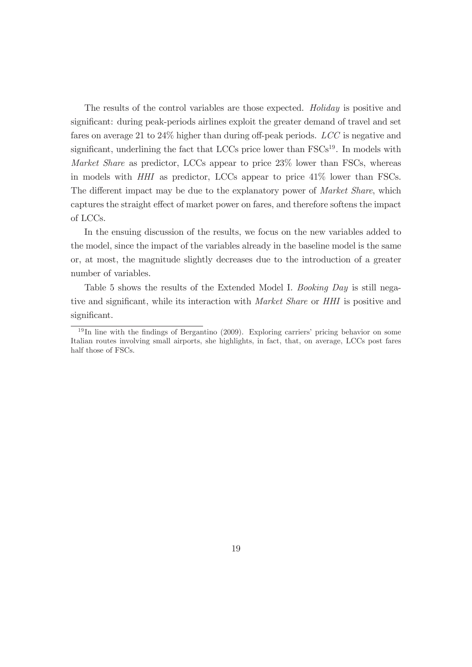The results of the control variables are those expected. *Holiday* is positive and significant: during peak-periods airlines exploit the greater demand of travel and set fares on average 21 to 24% higher than during off-peak periods. *LCC* is negative and significant, underlining the fact that LCCs price lower than  $FSCs<sup>19</sup>$ . In models with *Market Share* as predictor, LCCs appear to price 23% lower than FSCs, whereas in models with *HHI* as predictor, LCCs appear to price 41% lower than FSCs. The different impact may be due to the explanatory power of *Market Share*, which captures the straight effect of market power on fares, and therefore softens the impact of LCCs.

In the ensuing discussion of the results, we focus on the new variables added to the model, since the impact of the variables already in the baseline model is the same or, at most, the magnitude slightly decreases due to the introduction of a greater number of variables.

Table 5 shows the results of the Extended Model I. *Booking Day* is still negative and significant, while its interaction with *Market Share* or *HHI* is positive and significant.

 $19$  In line with the findings of Bergantino (2009). Exploring carriers' pricing behavior on some Italian routes involving small airports, she highlights, in fact, that, on average, LCCs post fares half those of FSCs.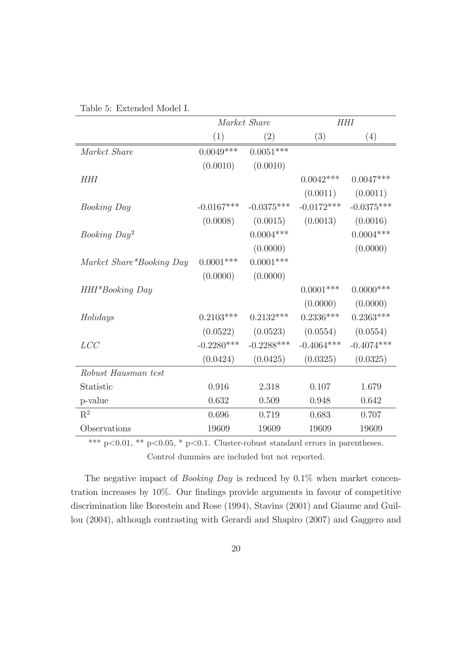|                          |              | Market Share |              | HHI          |
|--------------------------|--------------|--------------|--------------|--------------|
|                          | (1)          | (2)          | (3)          | (4)          |
| Market Share             | $0.0049***$  | $0.0051***$  |              |              |
|                          | (0.0010)     | (0.0010)     |              |              |
| <b>HHI</b>               |              |              | $0.0042***$  | $0.0047***$  |
|                          |              |              | (0.0011)     | (0.0011)     |
| <i>Booking Day</i>       | $-0.0167***$ | $-0.0375***$ | $-0.0172***$ | $-0.0375***$ |
|                          | (0.0008)     | (0.0015)     | (0.0013)     | (0.0016)     |
| Booking Day <sup>2</sup> |              | $0.0004***$  |              | $0.0004***$  |
|                          |              | (0.0000)     |              | (0.0000)     |
| Market Share*Booking Day | $0.0001$ *** | $0.0001$ *** |              |              |
|                          | (0.0000)     | (0.0000)     |              |              |
| HHI*Booking Day          |              |              | $0.0001***$  | $0.0000$ *** |
|                          |              |              | (0.0000)     | (0.0000)     |
| Holidays                 | $0.2103***$  | $0.2132***$  | $0.2336***$  | $0.2363***$  |
|                          | (0.0522)     | (0.0523)     | (0.0554)     | (0.0554)     |
| LCC                      | $-0.2280***$ | $-0.2288***$ | $-0.4064***$ | $-0.4074***$ |
|                          | (0.0424)     | (0.0425)     | (0.0325)     | (0.0325)     |
| Robust Hausman test      |              |              |              |              |
| Statistic                | 0.916        | 2.318        | 0.107        | 1.679        |
| p-value                  | 0.632        | 0.509        | 0.948        | 0.642        |
| $\mathbf{R}^2$           | 0.696        | 0.719        | 0.683        | 0.707        |
| Observations             | 19609        | 19609        | 19609        | 19609        |

| Table 5: Extended Model I. |  |
|----------------------------|--|
|----------------------------|--|

\*\*\* p<0.01, \*\* p<0.05, \* p<0.1. Cluster-robust standard errors in parentheses. Control dummies are included but not reported.

The negative impact of *Booking Day* is reduced by 0.1% when market concentration increases by 10%. Our findings provide arguments in favour of competitive discrimination like Borestein and Rose (1994), Stavins (2001) and Giaume and Guillou (2004), although contrasting with Gerardi and Shapiro (2007) and Gaggero and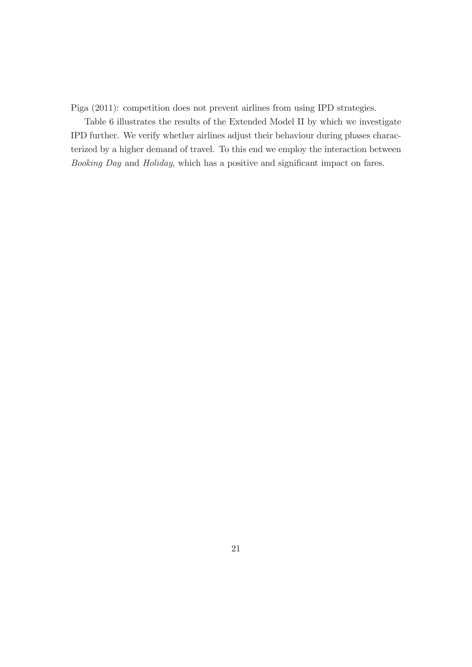Piga (2011): competition does not prevent airlines from using IPD strategies.

Table 6 illustrates the results of the Extended Model II by which we investigate IPD further. We verify whether airlines adjust their behaviour during phases characterized by a higher demand of travel. To this end we employ the interaction between *Booking Day* and *Holiday*, which has a positive and significant impact on fares.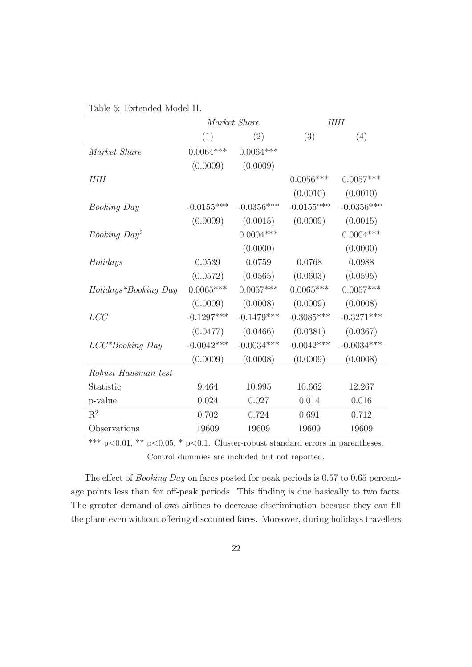|                          |              | Market Share |              | <b>HHI</b>   |
|--------------------------|--------------|--------------|--------------|--------------|
|                          | (1)          | (2)          | (3)          | (4)          |
| Market Share             | $0.0064***$  | $0.0064***$  |              |              |
|                          | (0.0009)     | (0.0009)     |              |              |
| HHI                      |              |              | $0.0056***$  | $0.0057***$  |
|                          |              |              | (0.0010)     | (0.0010)     |
| <i>Booking Day</i>       | $-0.0155***$ | $-0.0356***$ | $-0.0155***$ | $-0.0356***$ |
|                          | (0.0009)     | (0.0015)     | (0.0009)     | (0.0015)     |
| Booking Day <sup>2</sup> |              | $0.0004***$  |              | $0.0004***$  |
|                          |              | (0.0000)     |              | (0.0000)     |
| Holidays                 | 0.0539       | 0.0759       | 0.0768       | 0.0988       |
|                          | (0.0572)     | (0.0565)     | (0.0603)     | (0.0595)     |
| Holidays*Booking Day     | $0.0065***$  | $0.0057***$  | $0.0065***$  | $0.0057***$  |
|                          | (0.0009)     | (0.0008)     | (0.0009)     | (0.0008)     |
| LCC                      | $-0.1297***$ | $-0.1479***$ | $-0.3085***$ | $-0.3271***$ |
|                          | (0.0477)     | (0.0466)     | (0.0381)     | (0.0367)     |
| $LCC^*Booking$ Day       | $-0.0042***$ | $-0.0034***$ | $-0.0042***$ | $-0.0034***$ |
|                          | (0.0009)     | (0.0008)     | (0.0009)     | (0.0008)     |
| Robust Hausman test      |              |              |              |              |
| Statistic                | 9.464        | 10.995       | 10.662       | 12.267       |
| p-value                  | 0.024        | 0.027        | 0.014        | 0.016        |
| $R^2$                    | 0.702        | 0.724        | 0.691        | 0.712        |
| Observations             | 19609        | 19609        | 19609        | 19609        |

| Table 6: Extended Model II. |
|-----------------------------|
|-----------------------------|

\*\*\* p<0.01, \*\* p<0.05, \* p<0.1. Cluster-robust standard errors in parentheses. Control dummies are included but not reported.

The effect of *Booking Day* on fares posted for peak periods is 0.57 to 0.65 percentage points less than for off-peak periods. This finding is due basically to two facts. The greater demand allows airlines to decrease discrimination because they can fill the plane even without offering discounted fares. Moreover, during holidays travellers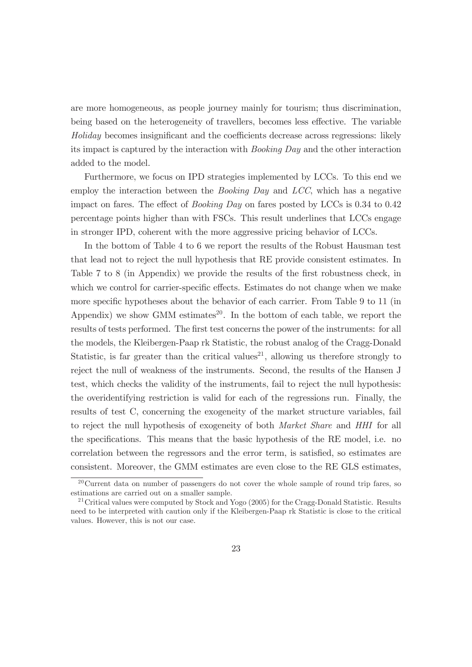are more homogeneous, as people journey mainly for tourism; thus discrimination, being based on the heterogeneity of travellers, becomes less effective. The variable *Holiday* becomes insignificant and the coefficients decrease across regressions: likely its impact is captured by the interaction with *Booking Day* and the other interaction added to the model.

Furthermore, we focus on IPD strategies implemented by LCCs. To this end we employ the interaction between the *Booking Day* and *LCC*, which has a negative impact on fares. The effect of *Booking Day* on fares posted by LCCs is 0.34 to 0.42 percentage points higher than with FSCs. This result underlines that LCCs engage in stronger IPD, coherent with the more aggressive pricing behavior of LCCs.

In the bottom of Table 4 to 6 we report the results of the Robust Hausman test that lead not to reject the null hypothesis that RE provide consistent estimates. In Table 7 to 8 (in Appendix) we provide the results of the first robustness check, in which we control for carrier-specific effects. Estimates do not change when we make more specific hypotheses about the behavior of each carrier. From Table 9 to 11 (in Appendix) we show GMM estimates<sup>20</sup>. In the bottom of each table, we report the results of tests performed. The first test concerns the power of the instruments: for all the models, the Kleibergen-Paap rk Statistic, the robust analog of the Cragg-Donald Statistic, is far greater than the critical values<sup>21</sup>, allowing us therefore strongly to reject the null of weakness of the instruments. Second, the results of the Hansen J test, which checks the validity of the instruments, fail to reject the null hypothesis: the overidentifying restriction is valid for each of the regressions run. Finally, the results of test C, concerning the exogeneity of the market structure variables, fail to reject the null hypothesis of exogeneity of both *Market Share* and *HHI* for all the specifications. This means that the basic hypothesis of the RE model, i.e. no correlation between the regressors and the error term, is satisfied, so estimates are consistent. Moreover, the GMM estimates are even close to the RE GLS estimates,

<sup>&</sup>lt;sup>20</sup>Current data on number of passengers do not cover the whole sample of round trip fares, so estimations are carried out on a smaller sample.

 $21$ Critical values were computed by Stock and Yogo (2005) for the Cragg-Donald Statistic. Results need to be interpreted with caution only if the Kleibergen-Paap rk Statistic is close to the critical values. However, this is not our case.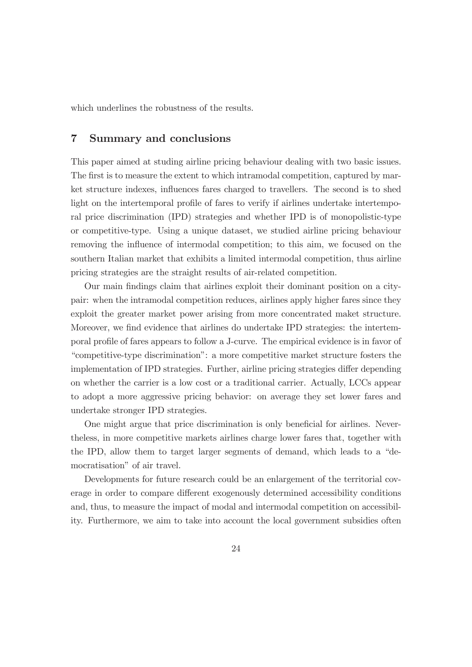which underlines the robustness of the results.

# 7 Summary and conclusions

This paper aimed at studing airline pricing behaviour dealing with two basic issues. The first is to measure the extent to which intramodal competition, captured by market structure indexes, influences fares charged to travellers. The second is to shed light on the intertemporal profile of fares to verify if airlines undertake intertemporal price discrimination (IPD) strategies and whether IPD is of monopolistic-type or competitive-type. Using a unique dataset, we studied airline pricing behaviour removing the influence of intermodal competition; to this aim, we focused on the southern Italian market that exhibits a limited intermodal competition, thus airline pricing strategies are the straight results of air-related competition.

Our main findings claim that airlines exploit their dominant position on a citypair: when the intramodal competition reduces, airlines apply higher fares since they exploit the greater market power arising from more concentrated maket structure. Moreover, we find evidence that airlines do undertake IPD strategies: the intertemporal profile of fares appears to follow a J-curve. The empirical evidence is in favor of "competitive-type discrimination": a more competitive market structure fosters the implementation of IPD strategies. Further, airline pricing strategies differ depending on whether the carrier is a low cost or a traditional carrier. Actually, LCCs appear to adopt a more aggressive pricing behavior: on average they set lower fares and undertake stronger IPD strategies.

One might argue that price discrimination is only beneficial for airlines. Nevertheless, in more competitive markets airlines charge lower fares that, together with the IPD, allow them to target larger segments of demand, which leads to a "democratisation" of air travel.

Developments for future research could be an enlargement of the territorial coverage in order to compare different exogenously determined accessibility conditions and, thus, to measure the impact of modal and intermodal competition on accessibility. Furthermore, we aim to take into account the local government subsidies often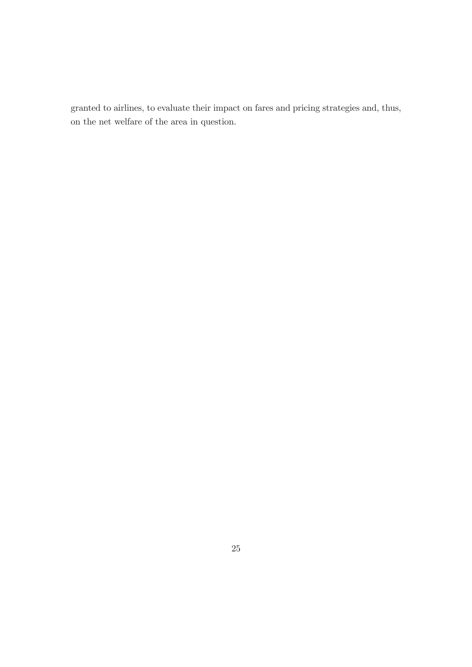granted to airlines, to evaluate their impact on fares and pricing strategies and, thus, on the net welfare of the area in question.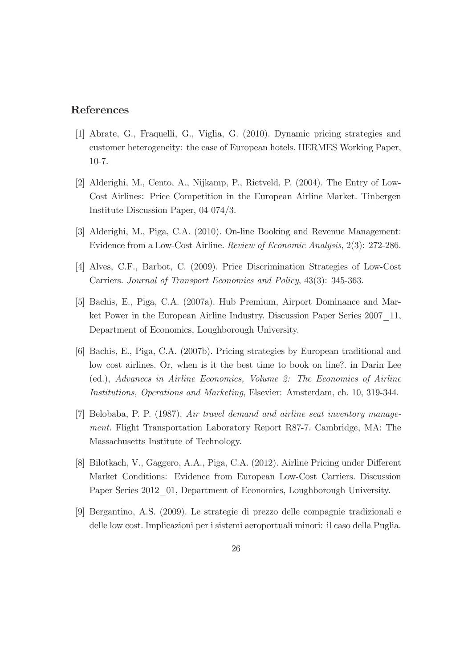# References

- [1] Abrate, G., Fraquelli, G., Viglia, G. (2010). Dynamic pricing strategies and customer heterogeneity: the case of European hotels. HERMES Working Paper, 10-7.
- [2] Alderighi, M., Cento, A., Nijkamp, P., Rietveld, P. (2004). The Entry of Low-Cost Airlines: Price Competition in the European Airline Market. Tinbergen Institute Discussion Paper, 04-074/3.
- [3] Alderighi, M., Piga, C.A. (2010). On-line Booking and Revenue Management: Evidence from a Low-Cost Airline. *Review of Economic Analysis*, 2(3): 272-286.
- [4] Alves, C.F., Barbot, C. (2009). Price Discrimination Strategies of Low-Cost Carriers. *Journal of Transport Economics and Policy*, 43(3): 345-363.
- [5] Bachis, E., Piga, C.A. (2007a). Hub Premium, Airport Dominance and Market Power in the European Airline Industry. Discussion Paper Series 2007\_11, Department of Economics, Loughborough University.
- [6] Bachis, E., Piga, C.A. (2007b). Pricing strategies by European traditional and low cost airlines. Or, when is it the best time to book on line?. in Darin Lee (ed.), *Advances in Airline Economics, Volume 2: The Economics of Airline Institutions, Operations and Marketing*, Elsevier: Amsterdam, ch. 10, 319-344.
- [7] Belobaba, P. P. (1987). *Air travel demand and airline seat inventory management.* Flight Transportation Laboratory Report R87-7. Cambridge, MA: The Massachusetts Institute of Technology.
- [8] Bilotkach, V., Gaggero, A.A., Piga, C.A. (2012). Airline Pricing under Different Market Conditions: Evidence from European Low-Cost Carriers. Discussion Paper Series 2012 01, Department of Economics, Loughborough University.
- [9] Bergantino, A.S. (2009). Le strategie di prezzo delle compagnie tradizionali e delle low cost. Implicazioni per i sistemi aeroportuali minori: il caso della Puglia.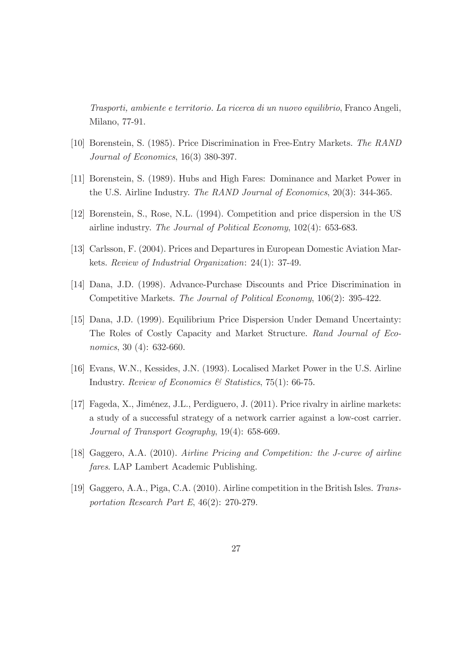*Trasporti, ambiente e territorio. La ricerca di un nuovo equilibrio*, Franco Angeli, Milano, 77-91.

- [10] Borenstein, S. (1985). Price Discrimination in Free-Entry Markets. *The RAND Journal of Economics*, 16(3) 380-397.
- [11] Borenstein, S. (1989). Hubs and High Fares: Dominance and Market Power in the U.S. Airline Industry. *The RAND Journal of Economics*, 20(3): 344-365.
- [12] Borenstein, S., Rose, N.L. (1994). Competition and price dispersion in the US airline industry. *The Journal of Political Economy*, 102(4): 653-683.
- [13] Carlsson, F. (2004). Prices and Departures in European Domestic Aviation Markets. *Review of Industrial Organization*: 24(1): 37-49.
- [14] Dana, J.D. (1998). Advance-Purchase Discounts and Price Discrimination in Competitive Markets. *The Journal of Political Economy*, 106(2): 395-422.
- [15] Dana, J.D. (1999). Equilibrium Price Dispersion Under Demand Uncertainty: The Roles of Costly Capacity and Market Structure. *Rand Journal of Economics*, 30 (4): 632-660.
- [16] Evans, W.N., Kessides, J.N. (1993). Localised Market Power in the U.S. Airline Industry. *Review of Economics & Statistics*, 75(1): 66-75.
- [17] Fageda, X., Jiménez, J.L., Perdiguero, J. (2011). Price rivalry in airline markets: a study of a successful strategy of a network carrier against a low-cost carrier. *Journal of Transport Geography*, 19(4): 658-669.
- [18] Gaggero, A.A. (2010). *Airline Pricing and Competition: the J-curve of airline fares*. LAP Lambert Academic Publishing.
- [19] Gaggero, A.A., Piga, C.A. (2010). Airline competition in the British Isles. *Transportation Research Part E*, 46(2): 270-279.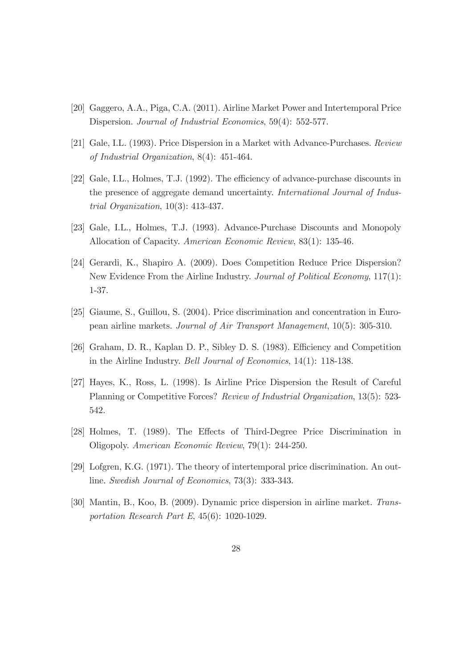- [20] Gaggero, A.A., Piga, C.A. (2011). Airline Market Power and Intertemporal Price Dispersion. *Journal of Industrial Economics*, 59(4): 552-577.
- [21] Gale, I.L. (1993). Price Dispersion in a Market with Advance-Purchases. *Review of Industrial Organization*, 8(4): 451-464.
- [22] Gale, I.L., Holmes, T.J. (1992). The efficiency of advance-purchase discounts in the presence of aggregate demand uncertainty. *International Journal of Industrial Organization*, 10(3): 413-437.
- [23] Gale, I.L., Holmes, T.J. (1993). Advance-Purchase Discounts and Monopoly Allocation of Capacity. *American Economic Review*, 83(1): 135-46.
- [24] Gerardi, K., Shapiro A. (2009). Does Competition Reduce Price Dispersion? New Evidence From the Airline Industry. *Journal of Political Economy*, 117(1): 1-37.
- [25] Giaume, S., Guillou, S. (2004). Price discrimination and concentration in European airline markets. *Journal of Air Transport Management*, 10(5): 305-310.
- [26] Graham, D. R., Kaplan D. P., Sibley D. S. (1983). Efficiency and Competition in the Airline Industry. *Bell Journal of Economics*, 14(1): 118-138.
- [27] Hayes, K., Ross, L. (1998). Is Airline Price Dispersion the Result of Careful Planning or Competitive Forces? *Review of Industrial Organization*, 13(5): 523- 542.
- [28] Holmes, T. (1989). The Effects of Third-Degree Price Discrimination in Oligopoly. *American Economic Review*, 79(1): 244-250.
- [29] Lofgren, K.G. (1971). The theory of intertemporal price discrimination. An outline. *Swedish Journal of Economics*, 73(3): 333-343.
- [30] Mantin, B., Koo, B. (2009). Dynamic price dispersion in airline market. *Transportation Research Part E*, 45(6): 1020-1029.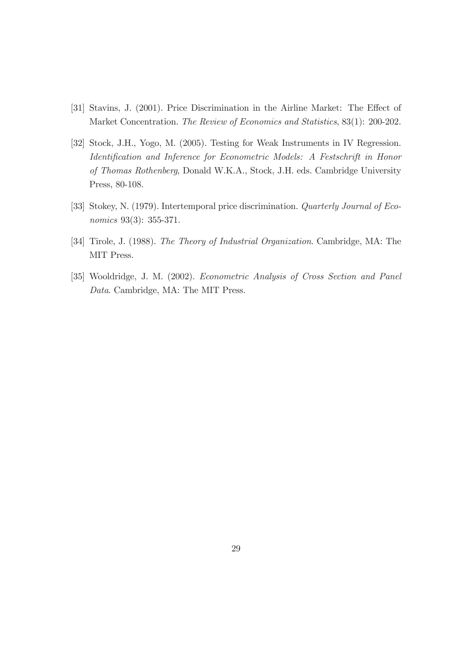- [31] Stavins, J. (2001). Price Discrimination in the Airline Market: The Effect of Market Concentration. *The Review of Economics and Statistics*, 83(1): 200-202.
- [32] Stock, J.H., Yogo, M. (2005). Testing for Weak Instruments in IV Regression. *Identification and Inference for Econometric Models: A Festschrift in Honor of Thomas Rothenberg*, Donald W.K.A., Stock, J.H. eds. Cambridge University Press, 80-108.
- [33] Stokey, N. (1979). Intertemporal price discrimination. *Quarterly Journal of Economics* 93(3): 355-371.
- [34] Tirole, J. (1988). *The Theory of Industrial Organization*. Cambridge, MA: The MIT Press.
- [35] Wooldridge, J. M. (2002). *Econometric Analysis of Cross Section and Panel Data*. Cambridge, MA: The MIT Press.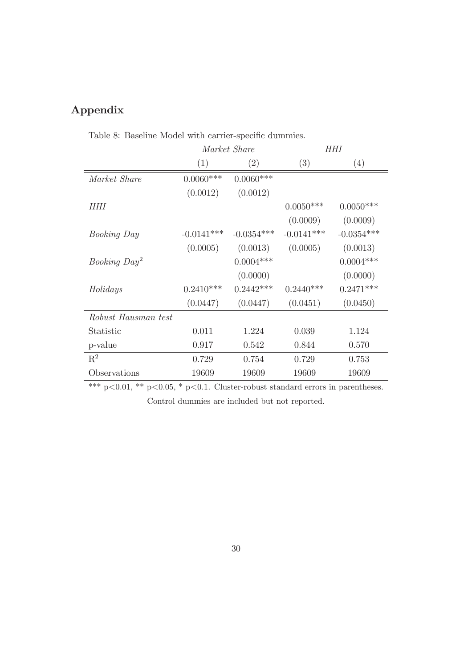# Appendix

|                          |              | Market Share |              | HHI          |
|--------------------------|--------------|--------------|--------------|--------------|
|                          | (1)          | (2)          | (3)          | (4)          |
| Market Share             | $0.0060***$  | $0.0060***$  |              |              |
|                          | (0.0012)     | (0.0012)     |              |              |
| HHI                      |              |              | $0.0050***$  | $0.0050***$  |
|                          |              |              | (0.0009)     | (0.0009)     |
| <i>Booking Day</i>       | $-0.0141***$ | $-0.0354***$ | $-0.0141***$ | $-0.0354***$ |
|                          | (0.0005)     | (0.0013)     | (0.0005)     | (0.0013)     |
| Booking Day <sup>2</sup> |              | $0.0004***$  |              | $0.0004***$  |
|                          |              | (0.0000)     |              | (0.0000)     |
| Holidays                 | $0.2410***$  | $0.2442***$  | $0.2440***$  | $0.2471***$  |
|                          | (0.0447)     | (0.0447)     | (0.0451)     | (0.0450)     |
| Robust Hausman test      |              |              |              |              |
| Statistic                | 0.011        | 1.224        | 0.039        | 1.124        |
| p-value                  | 0.917        | 0.542        | 0.844        | 0.570        |
| $\mathbf{R}^2$           | 0.729        | 0.754        | 0.729        | 0.753        |
| Observations             | 19609        | 19609        | 19609        | 19609        |

Table 8: Baseline Model with carrier-specific dummies.

\*\*\*  $p<0.01$ , \*\*  $p<0.05$ , \*  $p<0.1$ . Cluster-robust standard errors in parentheses. Control dummies are included but not reported.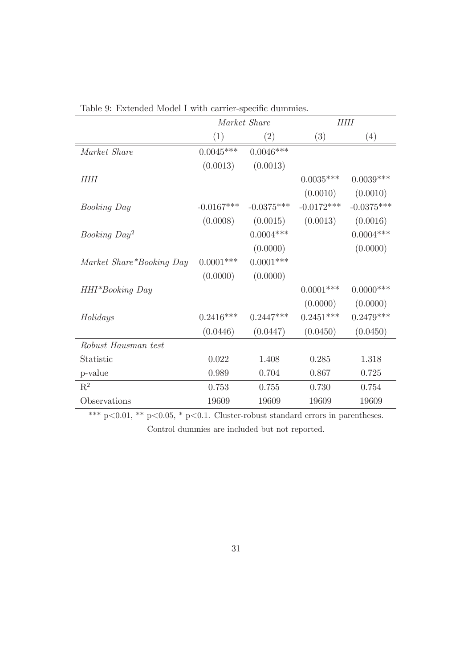|                          |              | Market Share | HHI          |              |
|--------------------------|--------------|--------------|--------------|--------------|
|                          | (1)          | (2)          | (3)          | (4)          |
| Market Share             | $0.0045***$  | $0.0046***$  |              |              |
|                          | (0.0013)     | (0.0013)     |              |              |
| <b>HHI</b>               |              |              | $0.0035***$  | $0.0039***$  |
|                          |              |              | (0.0010)     | (0.0010)     |
| <b>Booking Day</b>       | $-0.0167***$ | $-0.0375***$ | $-0.0172***$ | $-0.0375***$ |
|                          | (0.0008)     | (0.0015)     | (0.0013)     | (0.0016)     |
| Booking Day <sup>2</sup> |              | $0.0004***$  |              | $0.0004***$  |
|                          |              | (0.0000)     |              | (0.0000)     |
| Market Share*Booking Day | $0.0001***$  | $0.0001***$  |              |              |
|                          | (0.0000)     | (0.0000)     |              |              |
| HHI*Booking Day          |              |              | $0.0001$ *** | $0.0000$ *** |
|                          |              |              | (0.0000)     | (0.0000)     |
| Holidays                 | $0.2416***$  | $0.2447***$  | $0.2451***$  | $0.2479***$  |
|                          | (0.0446)     | (0.0447)     | (0.0450)     | (0.0450)     |
| Robust Hausman test      |              |              |              |              |
| Statistic                | 0.022        | 1.408        | 0.285        | 1.318        |
| p-value                  | 0.989        | 0.704        | 0.867        | 0.725        |
| $\mathbf{R}^2$           | 0.753        | 0.755        | 0.730        | 0.754        |
| Observations             | 19609        | 19609        | 19609        | 19609        |

Table 9: Extended Model I with carrier-specific dummies.

\*\*\* p<0.01, \*\* p<0.05, \* p<0.1. Cluster-robust standard errors in parentheses. Control dummies are included but not reported.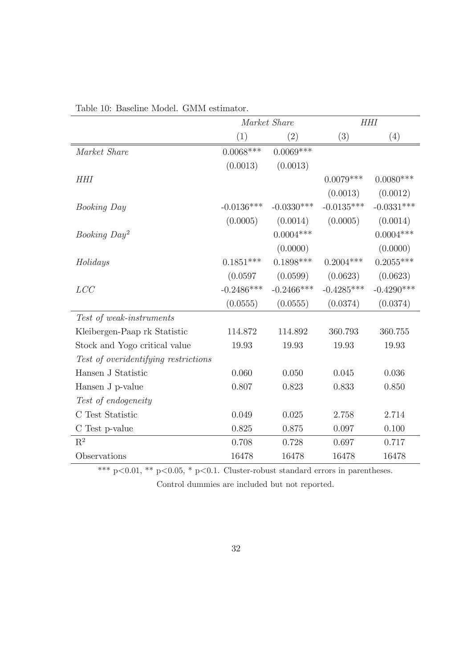|                                      | Market Share |                   | <b>HHI</b>   |              |
|--------------------------------------|--------------|-------------------|--------------|--------------|
|                                      | (1)          | $\left( 2\right)$ | (3)          | (4)          |
| Market Share                         | $0.0068***$  | $0.0069***$       |              |              |
|                                      | (0.0013)     | (0.0013)          |              |              |
| HHI                                  |              |                   | $0.0079***$  | $0.0080***$  |
|                                      |              |                   | (0.0013)     | (0.0012)     |
| <b>Booking Day</b>                   | $-0.0136***$ | $-0.0330***$      | $-0.0135***$ | $-0.0331***$ |
|                                      | (0.0005)     | (0.0014)          | (0.0005)     | (0.0014)     |
| Booking $Day^2$                      |              | $0.0004***$       |              | $0.0004***$  |
|                                      |              | (0.0000)          |              | (0.0000)     |
| Holidays                             | $0.1851***$  | $0.1898***$       | $0.2004***$  | $0.2055***$  |
|                                      | (0.0597)     | (0.0599)          | (0.0623)     | (0.0623)     |
| LCC                                  | $-0.2486***$ | $-0.2466$ ***     | $-0.4285***$ | $-0.4290***$ |
|                                      | (0.0555)     | (0.0555)          | (0.0374)     | (0.0374)     |
| Test of weak-instruments             |              |                   |              |              |
| Kleibergen-Paap rk Statistic         | 114.872      | 114.892           | 360.793      | 360.755      |
| Stock and Yogo critical value        | 19.93        | 19.93             | 19.93        | 19.93        |
| Test of overidentifying restrictions |              |                   |              |              |
| Hansen J Statistic                   | 0.060        | 0.050             | 0.045        | 0.036        |
| Hansen J p-value                     | 0.807        | 0.823             | 0.833        | 0.850        |
| Test of endogeneity                  |              |                   |              |              |
| C Test Statistic                     | 0.049        | 0.025             | 2.758        | 2.714        |
| C Test p-value                       | 0.825        | 0.875             | 0.097        | 0.100        |
| $\mathbf{R}^2$                       | 0.708        | 0.728             | 0.697        | 0.717        |
| Observations                         | 16478        | 16478             | 16478        | 16478        |

Table 10: Baseline Model. GMM estimator.

\*\*\* p<0.01, \*\* p<0.05, \* p<0.1. Cluster-robust standard errors in parentheses.

Control dummies are included but not reported.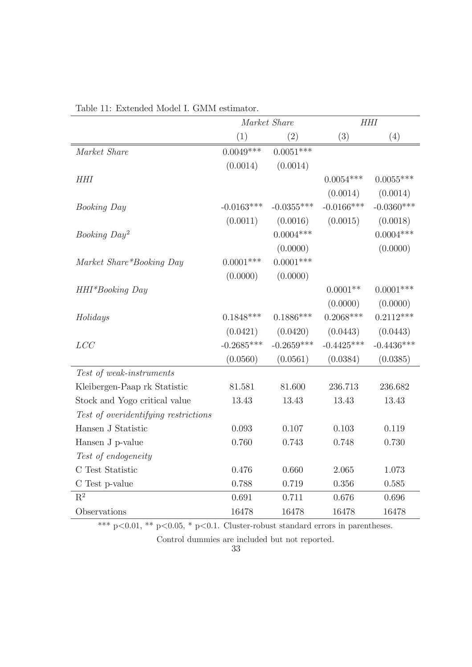|                                      | Market Share |              | <b>HHI</b>   |              |
|--------------------------------------|--------------|--------------|--------------|--------------|
|                                      | (1)          | (2)          | (3)          | (4)          |
| Market Share                         | $0.0049***$  | $0.0051***$  |              |              |
|                                      | (0.0014)     | (0.0014)     |              |              |
| <b>HHI</b>                           |              |              | $0.0054***$  | $0.0055***$  |
|                                      |              |              | (0.0014)     | (0.0014)     |
| <b>Booking Day</b>                   | $-0.0163***$ | $-0.0355***$ | $-0.0166***$ | $-0.0360***$ |
|                                      | (0.0011)     | (0.0016)     | (0.0015)     | (0.0018)     |
| Booking Day <sup>2</sup>             |              | $0.0004***$  |              | $0.0004***$  |
|                                      |              | (0.0000)     |              | (0.0000)     |
| Market Share*Booking Day             | $0.0001$ *** | $0.0001***$  |              |              |
|                                      | (0.0000)     | (0.0000)     |              |              |
| HHI*Booking Day                      |              |              | $0.0001**$   | $0.0001$ *** |
|                                      |              |              | (0.0000)     | (0.0000)     |
| Holidays                             | $0.1848***$  | $0.1886***$  | $0.2068***$  | $0.2112***$  |
|                                      | (0.0421)     | (0.0420)     | (0.0443)     | (0.0443)     |
| LCC                                  | $-0.2685***$ | $-0.2659***$ | $-0.4425***$ | $-0.4436***$ |
|                                      | (0.0560)     | (0.0561)     | (0.0384)     | (0.0385)     |
| Test of weak-instruments             |              |              |              |              |
| Kleibergen-Paap rk Statistic         | 81.581       | 81.600       | 236.713      | 236.682      |
| Stock and Yogo critical value        | 13.43        | 13.43        | 13.43        | 13.43        |
| Test of overidentifying restrictions |              |              |              |              |
| Hansen J Statistic                   | 0.093        | 0.107        | 0.103        | 0.119        |
| Hansen J p-value                     | 0.760        | 0.743        | 0.748        | 0.730        |
| Test of endogeneity                  |              |              |              |              |
| C Test Statistic                     | 0.476        | 0.660        | 2.065        | 1.073        |
| C Test p-value                       | 0.788        | 0.719        | 0.356        | 0.585        |
| $\mathbf{R}^2$                       | 0.691        | 0.711        | 0.676        | 0.696        |
| Observations                         | 16478        | 16478        | 16478        | 16478        |

Table 11: Extended Model I. GMM estimator.

\*\*\* p<0.01, \*\* p<0.05, \* p<0.1. Cluster-robust standard errors in parentheses.

Control dummies are included but not reported.